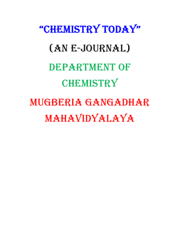# "chemistry today" (aN e-JourNal) DEPARTMENT OF chemistry mugberia gaNgadhar **MAHAVIDYALAYA**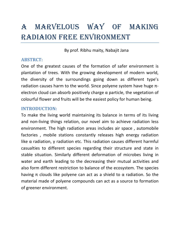# a marvelous Way of maKiNg radiaioN free eNviroNmeNt

By prof. Ribhu maity, Nabajit Jana

### ABSTRCT:

One of the greatest causes of the formation of safer environment is plantation of trees. With the growing development of modern world, the diversity of the surroundings going down as different type's radiation causes harm to the world. Since polyene system have huge πelectron cloud can absorb positively charge  $\alpha$  particle, the vegetation of colourful flower and fruits will be the easiest policy for human being.

### INTRODUCTION:

To make the living world maintaining its balance in terms of its living and non-living things relation, our novel aim to achieve radiation less environment. The high radiation areas includes air space , automobile factories , mobile stations constantly releases high energy radiation like  $\alpha$  radiation, γ radiation etc. This radiation causes different harmful casualties to different species regarding their structure and state in stable situation. Similarly different deformation of microbes living in water and earth leading to the decreasing their mutual activities and also form different restriction to balance of the ecosystem. The species having π clouds like polyene can act as a shield to  $\alpha$  radiation. So the material made of polyene compounds can act as a source to formation of greener environment.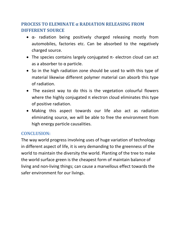### PROCESS TO ELEMINATE  $\alpha$  RADIATION RELEASING FROM DIFFERENT SOURCE

- $\alpha$  radiation being positively charged releasing mostly from automobiles, factories etc. Can be absorbed to the negatively charged source.
- The species contains largely conjugated  $\pi$  electron cloud can act as a absorber to  $\alpha$  particle.
- So in the high radiation zone should be used to with this type of material likewise different polymer material can absorb this type of radiation.
- The easiest way to do this is the vegetation colourful flowers where the highly conjugated  $\pi$  electron cloud eliminates this type of positive radiation.
- Making this aspect towards our life also act as radiation eliminating source, we will be able to free the environment from high energy particle causalities.

### CONCLUSION:

The way world progress involving uses of huge variation of technology in different aspect of life, it is very demanding to the greenness of the world to maintain the diversity the world. Planting of the tree to make the world surface green is the cheapest form of maintain balance of living and non-living things; can cause a marvellous effect towards the safer environment for our livings.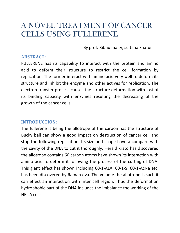### A NOVEL TREATMENT OF CANCER CELLS USING FULLERENE

By prof. Ribhu maity, sultana khatun

### ABSTRACT:

FULLERENE has its capability to interact with the protein and amino acid to deform their structure to restrict the cell formation by replication. The former interact with amino acid very well to deform its structure and inhibit the enzyme and other actives for replication. The electron transfer process causes the structure deformation with lost of its binding capacity with enzymes resulting the decreasing of the growth of the cancer cells.

### INTRODUCTION:

The fullerene is being the allotrope of the carbon has the structure of Bucky ball can show a good impact on destruction of cancer cell and stop the following replication. Its size and shape have a compare with the cavity of the DNA to cut it thoroughly. Herald krato has discovered the allotrope contains 60 carbon atoms have shown its interaction with amino acid to deform it following the process of the cutting of DNA. This giant effect has shown including 60-1-ALA, 60-1-S, 60-1-AcNa etc. has been discovered by Raman ova. The volume the allotrope is such it can effect an interaction with inter cell region. Thus the deformation hydrophobic part of the DNA includes the imbalance the working of the HE LA cells.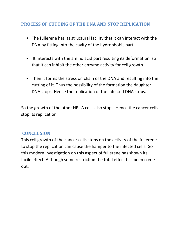### PROCESS OF CUTTING OF THE DNA AND STOP REPLICATION

- The fullerene has its structural facility that it can interact with the DNA by fitting into the cavity of the hydrophobic part.
- It interacts with the amino acid part resulting its deformation, so that it can inhibit the other enzyme activity for cell growth.
- Then it forms the stress on chain of the DNA and resulting into the cutting of it. Thus the possibility of the formation the daughter DNA stops. Hence the replication of the infected DNA stops.

So the growth of the other HE LA cells also stops. Hence the cancer cells stop its replication.

### CONCLUSION:

This cell growth of the cancer cells stops on the activity of the fullerene to stop the replication can cause the hamper to the infected cells. So this modern investigation on this aspect of fullerene has shown its facile effect. Although some restriction the total effect has been come out.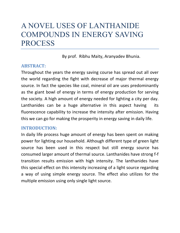### A NOVEL USES OF LANTHANIDE COMPOUNDS IN ENERGY SAVING PROCESS

By prof. Ribhu Maity, Aranyadev Bhunia.

### ABSTRACT:

Throughout the years the energy saving course has spread out all over the world regarding the fight with decrease of major thermal energy source. In fact the species like coal, mineral oil are uses predominantly as the giant bowl of energy in terms of energy production for serving the society. A high amount of energy needed for lighting a city per day. Lanthanides can be a huge alternative in this aspect having its fluorescence capability to increase the intensity after emission. Having this we can go for making the prosperity in energy saving in daily life.

### INTRODUCTION:

In daily life process huge amount of energy has been spent on making power for lighting our household. Although different type of green light source has been used in this respect but still energy source has consumed larger amount of thermal source. Lanthanides have strong f-f transition results emission with high intensity. The lanthanides have this special effect on this intensity increasing of a light source regarding a way of using simple energy source. The effect also utilizes for the multiple emission using only single light source.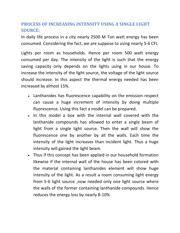### PROCESS OF INCREASING INTENSITY USING A SINGLE LIGHT SOURCE:

In daily life process in a city nearly 2500 M Ton watt energy has been consumed. Considering the fact, we are suppose to using nearly 5-6 CFL

Lights per room as households. Hence per room 500 watt energy consumed per day. The intensity of the light is such that the energy saving capacity only depends on the lights using in our house. To increase the intensity of the light source, the voltage of the light source should increase. In this aspect the thermal energy needed has been increased by almost 15%.

- Lanthanides has fluorescence capability on the emission respect can cause a huge increment of intensity by doing multiple fluorescence. Using this fact a model can be prepared.
- In this model a box with the internal wall covered with the lanthanide compounds has allowed to enter a single beam of light from a single light source. Then the wall will show the fluorescence one by another by all the walls. Each time the intensity of the light increases than incident light. Thus a huge intensity will gained the light beam.
- Thus if this concept has been applied in our household formation likewise if the internal wall of the house has been colored with the material containing lanthanides element will show huge intensity of the light. As a result a room consuming light energy from 5-6 light source ,now needed only one light source where the walls of the former containing lanthanide compounds. Hence reduces the energy loss by nearly 8-10%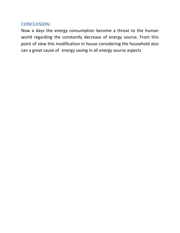### CONCLUSION:

Now a days the energy consumption become a threat to the human world regarding the constantly decrease of energy source. From this point of view this modification in house considering the household also can a great cause of energy saving in all energy source aspects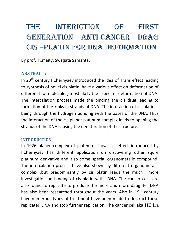# the iNterictioN of first geNeratioN aNti-caNcer drag cis –platiN for dNa deformatioN

By prof. R.maity, Swagata Samanta.

### ABSTRACT:

In 20<sup>th</sup> century I.Chernyaev introduced the idea of Trans effect leading to synthesis of novel cis platin, have a various effect on deformation of different bio- molecules, most likely the aspect of deformation of DNA. The intercalation process made the binding the cis drug leading to formation of the kinks in strands of DNA. The interaction of cis platin is being through the hydrogen bonding with the bases of the DNA. Thus the interaction of the cis planer platinum complex leads to opening the strands of the DNA causing the denaturation of the structure.

#### INTRODUCTION:

In 1926 planer complex of platinum shows cis effect introduced by I.Chernyaev has different application on discovering other squre platinum derivative and also some special organometalic compound. The intercalation process have also shown by different organometalic complex ,but predominantly by cis platin leads the much more investigation on binding of cis platin with DNA. The cancer cells are also found to replicate to produce the more and more daughter DNA has also been researched throughout the years. Also in 19<sup>th</sup> century have numerous types of treatment have been made to destruct these replicated DNA and stop further replication. The cancer cell aka HE LA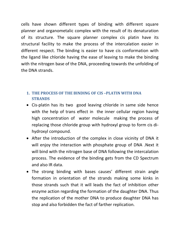cells have shown different types of binding with different square planner and organometalic complex with the result of its denaturation of its structure. The square planner complex cis platin have its structural facility to make the process of the intercalation easier in different respect. The binding is easier to have cis conformation with the ligand like chloride having the ease of leaving to make the binding with the nitrogen base of the DNA, proceeding towards the unfolding of the DNA strands.

### 1. THE PROCESS OF THE BINDING OF CIS –PLATIN WITH DNA STRANDS

- Cis-platin has its two good leaving chloride in same side hence with the help of trans effect in the inner cellular region having high concentration of water molecule making the process of replacing those chloride group with hydroxyl group to form cis dihydroxyl compound.
- After the introduction of the complex in close vicinity of DNA it will enjoy the interaction with phosphate group of DNA .Next it will bind with the nitrogen base of DNA following the intercalation process. The evidence of the binding gets from the CD Spectrum and also IR data.
- The strong binding with bases causes' different strain angle formation in orientation of the strands making some kinks in those strands such that it will leads the fact of inhibition other enzyme action regarding the formation of the daughter DNA. Thus the replication of the mother DNA to produce daughter DNA has stop and also forbidden the fact of farther replication.